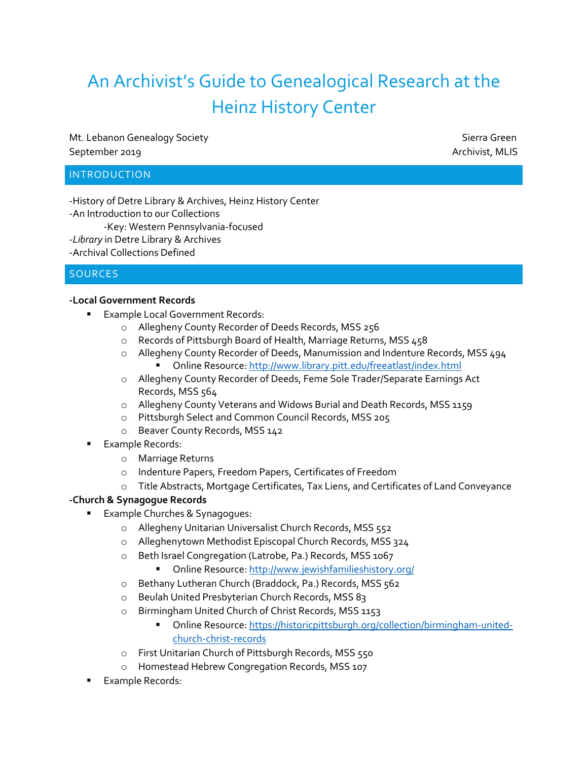# An Archivist's Guide to Genealogical Research at the Heinz History Center

Mt. Lebanon Genealogy Society Superior Sierra Green Sierra Green September 2019 Archivist, MLIS

## INTRODUCTION

-History of Detre Library & Archives, Heinz History Center -An Introduction to our Collections -Key: Western Pennsylvania-focused -*Library* in Detre Library & Archives -Archival Collections Defined

## SOURCES

#### **-Local Government Records**

- **Example Local Government Records:** 
	- o Allegheny County Recorder of Deeds Records, MSS 256
	- o Records of Pittsburgh Board of Health, Marriage Returns, MSS 458
	- o Allegheny County Recorder of Deeds, Manumission and Indenture Records, MSS 494 Online Resource[: http://www.library.pitt.edu/freeatlast/index.html](http://www.library.pitt.edu/freeatlast/index.html)
	- o Allegheny County Recorder of Deeds, Feme Sole Trader/Separate Earnings Act Records, MSS 564
	- o Allegheny County Veterans and Widows Burial and Death Records, MSS 1159
	- o Pittsburgh Select and Common Council Records, MSS 205
	- o Beaver County Records, MSS 142
- Example Records:
	- o Marriage Returns
	- o Indenture Papers, Freedom Papers, Certificates of Freedom
	- o Title Abstracts, Mortgage Certificates, Tax Liens, and Certificates of Land Conveyance

#### **-Church & Synagogue Records**

- Example Churches & Synagogues:
	- o Allegheny Unitarian Universalist Church Records, MSS 552
	- o Alleghenytown Methodist Episcopal Church Records, MSS 324
	- o Beth Israel Congregation (Latrobe, Pa.) Records, MSS 1067
		- Online Resource[: http://www.jewishfamilieshistory.org/](http://www.jewishfamilieshistory.org/)
	- o Bethany Lutheran Church (Braddock, Pa.) Records, MSS 562
	- o Beulah United Presbyterian Church Records, MSS 83
	- o Birmingham United Church of Christ Records, MSS 1153
		- **•** Online Resource[: https://historicpittsburgh.org/collection/birmingham-united](https://historicpittsburgh.org/collection/birmingham-united-church-christ-records)[church-christ-records](https://historicpittsburgh.org/collection/birmingham-united-church-christ-records)
	- o First Unitarian Church of Pittsburgh Records, MSS 550
	- o Homestead Hebrew Congregation Records, MSS 107
- **Example Records:**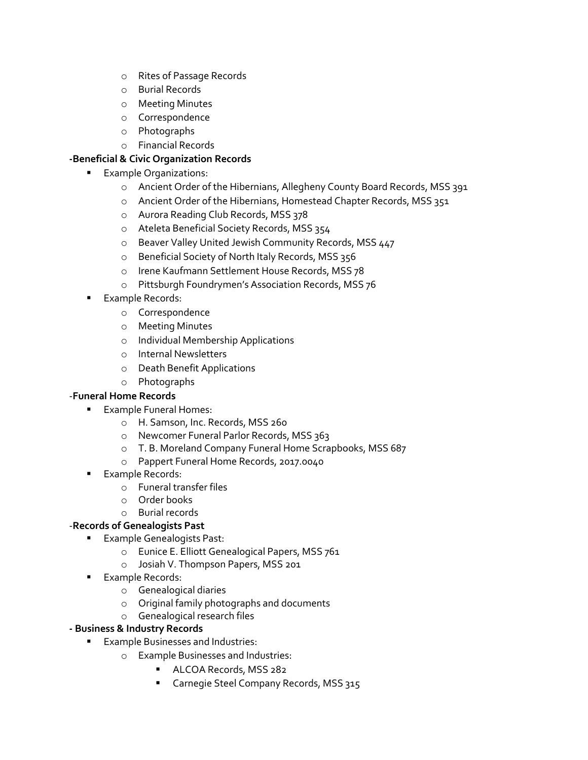- o Rites of Passage Records
- o Burial Records
- o Meeting Minutes
- o Correspondence
- o Photographs
- o Financial Records

## **-Beneficial & Civic Organization Records**

- Example Organizations:
	- o Ancient Order of the Hibernians, Allegheny County Board Records, MSS 391
	- o Ancient Order of the Hibernians, Homestead Chapter Records, MSS 351
	- o Aurora Reading Club Records, MSS 378
	- o Ateleta Beneficial Society Records, MSS 354
	- o Beaver Valley United Jewish Community Records, MSS 447
	- o Beneficial Society of North Italy Records, MSS 356
	- o Irene Kaufmann Settlement House Records, MSS 78
	- o Pittsburgh Foundrymen's Association Records, MSS 76
- **Example Records:** 
	- o Correspondence
	- o Meeting Minutes
	- o Individual Membership Applications
	- o Internal Newsletters
	- o Death Benefit Applications
	- o Photographs

## -**Funeral Home Records**

- Example Funeral Homes:
	- o H. Samson, Inc. Records, MSS 260
	- o Newcomer Funeral Parlor Records, MSS 363
	- o T. B. Moreland Company Funeral Home Scrapbooks, MSS 687
	- o Pappert Funeral Home Records, 2017.0040
- Example Records:
	- o Funeral transfer files
	- o Order books
	- o Burial records

## -**Records of Genealogists Past**

- Example Genealogists Past:
	- o Eunice E. Elliott Genealogical Papers, MSS 761
	- o Josiah V. Thompson Papers, MSS 201
- Example Records:
	- o Genealogical diaries
	- o Original family photographs and documents
	- o Genealogical research files

## **- Business & Industry Records**

- Example Businesses and Industries:
	- o Example Businesses and Industries:
		- ALCOA Records, MSS 282
		- Carnegie Steel Company Records, MSS 315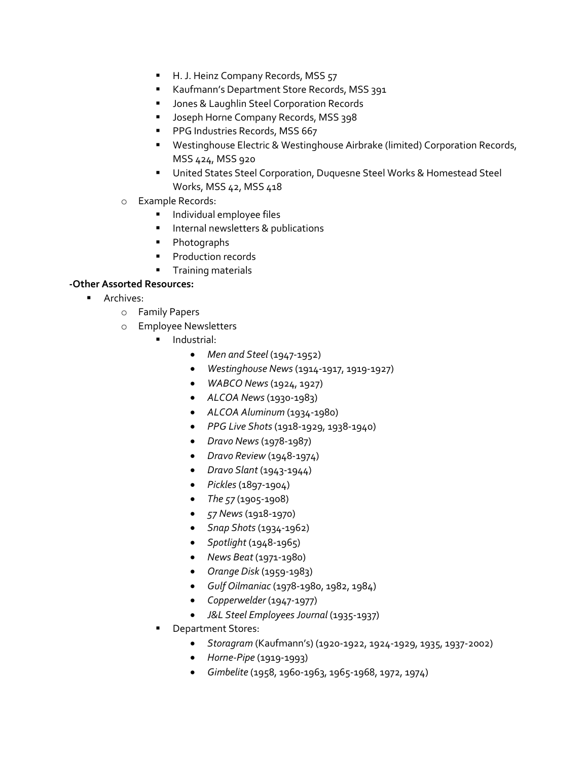- H. J. Heinz Company Records, MSS 57
- Kaufmann's Department Store Records, MSS 391
- Jones & Laughlin Steel Corporation Records
- Joseph Horne Company Records, MSS 398
- PPG Industries Records, MSS 667
- Westinghouse Electric & Westinghouse Airbrake (limited) Corporation Records, MSS 424, MSS 920
- United States Steel Corporation, Duquesne Steel Works & Homestead Steel Works, MSS 42, MSS 418
- o Example Records:
	- Individual employee files
	- **·** Internal newsletters & publications
	- Photographs
	- Production records
	- **•** Training materials

## **-Other Assorted Resources:**

- Archives:
	- o Family Papers
	- o Employee Newsletters
		- Industrial:
			- *Men and Steel* (1947-1952)
			- *Westinghouse News* (1914-1917, 1919-1927)
			- *WABCO News* (1924, 1927)
			- *ALCOA News* (1930-1983)
			- *ALCOA Aluminum* (1934-1980)
			- *PPG Live Shots* (1918-1929, 1938-1940)
			- *Dravo News* (1978-1987)
			- *Dravo Review* (1948-1974)
			- *Dravo Slant* (1943-1944)
			- *Pickles*(1897-1904)
			- *The 57* (1905-1908)
			- *57 News* (1918-1970)
			- *Snap Shots* (1934-1962)
			- *Spotlight* (1948-1965)
			- *News Beat* (1971-1980)
			- *Orange Disk* (1959-1983)
			- *Gulf Oilmaniac* (1978-1980, 1982, 1984)
			- *Copperwelder* (1947-1977)
			- *J&L Steel EmployeesJournal* (1935-1937)
		- Department Stores:
			- *Storagram* (Kaufmann's) (1920-1922, 1924-1929, 1935, 1937-2002)
			- *Horne-Pipe* (1919-1993)
			- *Gimbelite* (1958, 1960-1963, 1965-1968, 1972, 1974)